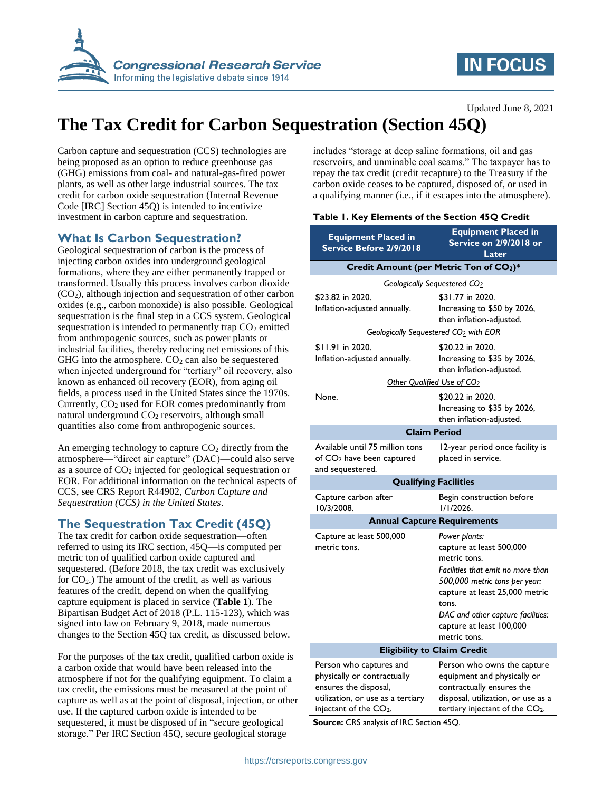

# **IN FOCUS**

Updated June 8, 2021

# **The Tax Credit for Carbon Sequestration (Section 45Q)**

Carbon capture and sequestration (CCS) technologies are being proposed as an option to reduce greenhouse gas (GHG) emissions from coal- and natural-gas-fired power plants, as well as other large industrial sources. The tax credit for carbon oxide sequestration (Internal Revenue Code [IRC] Section 45Q) is intended to incentivize investment in carbon capture and sequestration.

## **What Is Carbon Sequestration?**

Geological sequestration of carbon is the process of injecting carbon oxides into underground geological formations, where they are either permanently trapped or transformed. Usually this process involves carbon dioxide (CO2), although injection and sequestration of other carbon oxides (e.g., carbon monoxide) is also possible. Geological sequestration is the final step in a CCS system. Geological sequestration is intended to permanently trap  $CO<sub>2</sub>$  emitted from anthropogenic sources, such as power plants or industrial facilities, thereby reducing net emissions of this GHG into the atmosphere.  $CO<sub>2</sub>$  can also be sequestered when injected underground for "tertiary" oil recovery, also known as enhanced oil recovery (EOR), from aging oil fields, a process used in the United States since the 1970s. Currently,  $CO<sub>2</sub>$  used for EOR comes predominantly from natural underground  $CO<sub>2</sub>$  reservoirs, although small quantities also come from anthropogenic sources.

An emerging technology to capture  $CO<sub>2</sub>$  directly from the atmosphere—"direct air capture" (DAC)—could also serve as a source of  $CO<sub>2</sub>$  injected for geological sequestration or EOR. For additional information on the technical aspects of CCS, see CRS Report R44902, *Carbon Capture and Sequestration (CCS) in the United States*.

## **The Sequestration Tax Credit (45Q)**

The tax credit for carbon oxide sequestration—often referred to using its IRC section, 45Q—is computed per metric ton of qualified carbon oxide captured and sequestered. (Before 2018, the tax credit was exclusively for  $CO<sub>2</sub>$ .) The amount of the credit, as well as various features of the credit, depend on when the qualifying capture equipment is placed in service (**[Table 1](#page-0-0)**). The Bipartisan Budget Act of 2018 (P.L. 115-123), which was signed into law on February 9, 2018, made numerous changes to the Section 45Q tax credit, as discussed below.

For the purposes of the tax credit, qualified carbon oxide is a carbon oxide that would have been released into the atmosphere if not for the qualifying equipment. To claim a tax credit, the emissions must be measured at the point of capture as well as at the point of disposal, injection, or other use. If the captured carbon oxide is intended to be sequestered, it must be disposed of in "secure geological storage." Per IRC Section 45Q, secure geological storage

includes "storage at deep saline formations, oil and gas reservoirs, and unminable coal seams." The taxpayer has to repay the tax credit (credit recapture) to the Treasury if the carbon oxide ceases to be captured, disposed of, or used in a qualifying manner (i.e., if it escapes into the atmosphere).

### <span id="page-0-0"></span>**Table 1. Key Elements of the Section 45Q Credit**

| <b>Equipment Placed in</b><br>Service Before 2/9/2018                                                                                            | <b>Equipment Placed in</b><br>Service on 2/9/2018 or<br>Later                                                                                                      |
|--------------------------------------------------------------------------------------------------------------------------------------------------|--------------------------------------------------------------------------------------------------------------------------------------------------------------------|
| Credit Amount (per Metric Ton of CO2)*                                                                                                           |                                                                                                                                                                    |
| <b>Geologically Sequestered CO2</b>                                                                                                              |                                                                                                                                                                    |
| \$23.82 in 2020.                                                                                                                                 | \$31.77 in 2020.                                                                                                                                                   |
| Inflation-adjusted annually.                                                                                                                     | Increasing to \$50 by 2026,<br>then inflation-adjusted.                                                                                                            |
| Geologically Sequestered CO <sub>2</sub> with EOR                                                                                                |                                                                                                                                                                    |
| \$11.91 in 2020.                                                                                                                                 | \$20.22 in 2020.                                                                                                                                                   |
| Inflation-adjusted annually.                                                                                                                     | Increasing to \$35 by 2026,<br>then inflation-adjusted.                                                                                                            |
| Other Qualified Use of CO2                                                                                                                       |                                                                                                                                                                    |
| None.                                                                                                                                            | \$20.22 in 2020.<br>Increasing to \$35 by 2026,<br>then inflation-adjusted.                                                                                        |
| <b>Claim Period</b>                                                                                                                              |                                                                                                                                                                    |
| Available until 75 million tons<br>of CO <sub>2</sub> have been captured<br>and sequestered.                                                     | 12-year period once facility is<br>placed in service.                                                                                                              |
| <b>Qualifying Facilities</b>                                                                                                                     |                                                                                                                                                                    |
| Capture carbon after<br>10/3/2008.                                                                                                               | Begin construction before<br>$1/1/2026$ .                                                                                                                          |
| <b>Annual Capture Requirements</b>                                                                                                               |                                                                                                                                                                    |
| Capture at least 500,000<br>metric tons.                                                                                                         | Power plants:<br>capture at least 500,000<br>metric tons.<br>Facilities that emit no more than                                                                     |
|                                                                                                                                                  | 500,000 metric tons per year:<br>capture at least 25,000 metric<br>tons.                                                                                           |
|                                                                                                                                                  | DAC and other capture facilities:<br>capture at least 100,000<br>metric tons.                                                                                      |
| <b>Eligibility to Claim Credit</b>                                                                                                               |                                                                                                                                                                    |
| Person who captures and<br>physically or contractually<br>ensures the disposal,<br>utilization, or use as a tertiary<br>injectant of the $CO2$ . | Person who owns the capture<br>equipment and physically or<br>contractually ensures the<br>disposal, utilization, or use as a<br>tertiary injectant of the $CO2$ . |

**Source:** CRS analysis of IRC Section 45Q.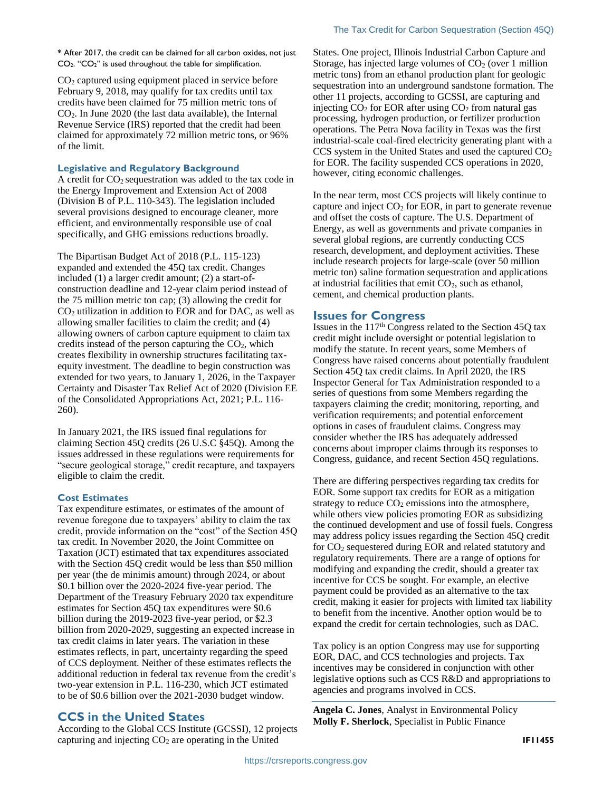**\*** After 2017, the credit can be claimed for all carbon oxides, not just CO2. "CO2" is used throughout the table for simplification.

CO<sup>2</sup> captured using equipment placed in service before February 9, 2018, may qualify for tax credits until tax credits have been claimed for 75 million metric tons of  $CO<sub>2</sub>$ . In June 2020 (the last data available), the Internal Revenue Service (IRS) reported that the credit had been claimed for approximately 72 million metric tons, or 96% of the limit.

#### **Legislative and Regulatory Background**

A credit for  $CO<sub>2</sub>$  sequestration was added to the tax code in the Energy Improvement and Extension Act of 2008 (Division B of P.L. 110-343). The legislation included several provisions designed to encourage cleaner, more efficient, and environmentally responsible use of coal specifically, and GHG emissions reductions broadly.

The Bipartisan Budget Act of 2018 (P.L. 115-123) expanded and extended the 45Q tax credit. Changes included (1) a larger credit amount; (2) a start-ofconstruction deadline and 12-year claim period instead of the 75 million metric ton cap; (3) allowing the credit for  $CO<sub>2</sub>$  utilization in addition to EOR and for DAC, as well as allowing smaller facilities to claim the credit; and (4) allowing owners of carbon capture equipment to claim tax credits instead of the person capturing the  $CO<sub>2</sub>$ , which creates flexibility in ownership structures facilitating taxequity investment. The deadline to begin construction was extended for two years, to January 1, 2026, in the Taxpayer Certainty and Disaster Tax Relief Act of 2020 (Division EE of the Consolidated Appropriations Act, 2021; P.L. 116- 260).

In January 2021, the IRS issued final regulations for claiming Section 45Q credits (26 U.S.C §45Q). Among the issues addressed in these regulations were requirements for "secure geological storage," credit recapture, and taxpayers eligible to claim the credit.

#### **Cost Estimates**

Tax expenditure estimates, or estimates of the amount of revenue foregone due to taxpayers' ability to claim the tax credit, provide information on the "cost" of the Section 45Q tax credit. In November 2020, the Joint Committee on Taxation (JCT) estimated that tax expenditures associated with the Section 45Q credit would be less than \$50 million per year (the de minimis amount) through 2024, or about \$0.1 billion over the 2020-2024 five-year period. The Department of the Treasury February 2020 tax expenditure estimates for Section 45Q tax expenditures were \$0.6 billion during the 2019-2023 five-year period, or \$2.3 billion from 2020-2029, suggesting an expected increase in tax credit claims in later years. The variation in these estimates reflects, in part, uncertainty regarding the speed of CCS deployment. Neither of these estimates reflects the additional reduction in federal tax revenue from the credit's two-year extension in P.L. 116-230, which JCT estimated to be of \$0.6 billion over the 2021-2030 budget window.

### **CCS in the United States**

According to the Global CCS Institute (GCSSI), 12 projects capturing and injecting CO<sub>2</sub> are operating in the United

States. One project, Illinois Industrial Carbon Capture and Storage, has injected large volumes of  $CO<sub>2</sub>$  (over 1 million metric tons) from an ethanol production plant for geologic sequestration into an underground sandstone formation. The other 11 projects, according to GCSSI, are capturing and injecting  $CO<sub>2</sub>$  for EOR after using  $CO<sub>2</sub>$  from natural gas processing, hydrogen production, or fertilizer production operations. The Petra Nova facility in Texas was the first industrial-scale coal-fired electricity generating plant with a  $CCS$  system in the United States and used the captured  $CO<sub>2</sub>$ for EOR. The facility suspended CCS operations in 2020, however, citing economic challenges.

In the near term, most CCS projects will likely continue to capture and inject  $CO<sub>2</sub>$  for EOR, in part to generate revenue and offset the costs of capture. The U.S. Department of Energy, as well as governments and private companies in several global regions, are currently conducting CCS research, development, and deployment activities. These include research projects for large-scale (over 50 million metric ton) saline formation sequestration and applications at industrial facilities that emit  $CO<sub>2</sub>$ , such as ethanol, cement, and chemical production plants.

#### **Issues for Congress**

Issues in the 117th Congress related to the Section 45Q tax credit might include oversight or potential legislation to modify the statute. In recent years, some Members of Congress have raised concerns about potentially fraudulent Section 45Q tax credit claims. In April 2020, the IRS Inspector General for Tax Administration responded to a series of questions from some Members regarding the taxpayers claiming the credit; monitoring, reporting, and verification requirements; and potential enforcement options in cases of fraudulent claims. Congress may consider whether the IRS has adequately addressed concerns about improper claims through its responses to Congress, guidance, and recent Section 45Q regulations.

There are differing perspectives regarding tax credits for EOR. Some support tax credits for EOR as a mitigation strategy to reduce  $CO<sub>2</sub>$  emissions into the atmosphere, while others view policies promoting EOR as subsidizing the continued development and use of fossil fuels. Congress may address policy issues regarding the Section 45Q credit for CO<sup>2</sup> sequestered during EOR and related statutory and regulatory requirements. There are a range of options for modifying and expanding the credit, should a greater tax incentive for CCS be sought. For example, an elective payment could be provided as an alternative to the tax credit, making it easier for projects with limited tax liability to benefit from the incentive. Another option would be to expand the credit for certain technologies, such as DAC.

Tax policy is an option Congress may use for supporting EOR, DAC, and CCS technologies and projects. Tax incentives may be considered in conjunction with other legislative options such as CCS R&D and appropriations to agencies and programs involved in CCS.

**Angela C. Jones**, Analyst in Environmental Policy **Molly F. Sherlock**, Specialist in Public Finance